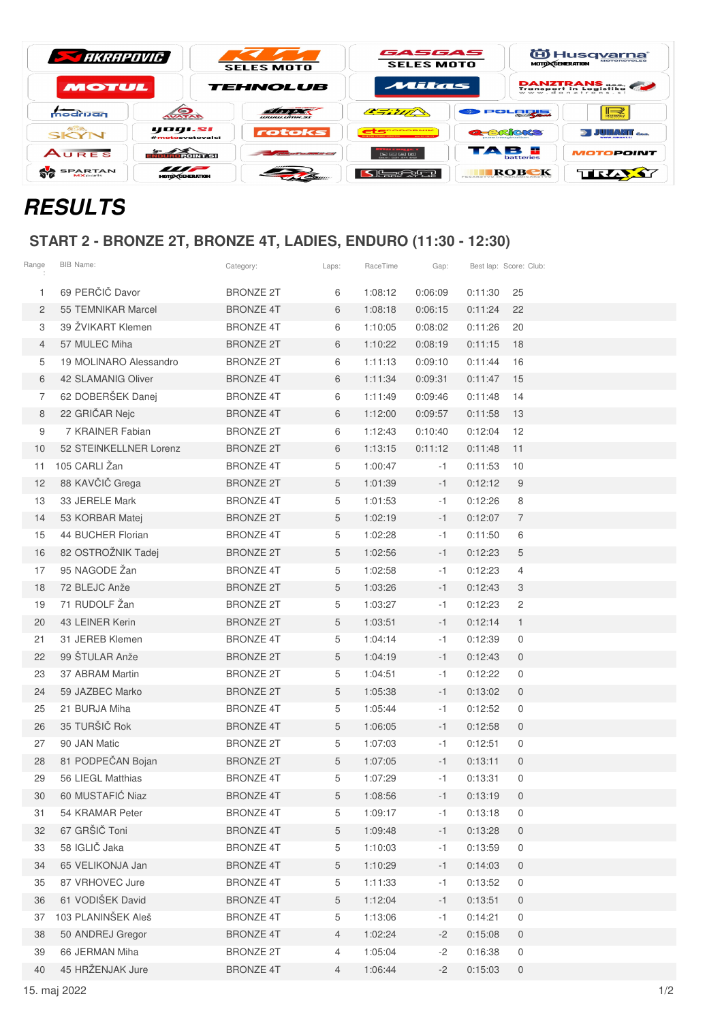| <b>STARRAPOVIC</b>                |                                    | <b>SELES MOTO</b>                                                                                                                                                                                                                          | GASGAS<br><b>SELES MOTO</b>                    |                                        | O Husq <u>varna</u><br><b>MOTO CENERATION</b> |  |  |
|-----------------------------------|------------------------------------|--------------------------------------------------------------------------------------------------------------------------------------------------------------------------------------------------------------------------------------------|------------------------------------------------|----------------------------------------|-----------------------------------------------|--|--|
| <b>MOTUL</b>                      |                                    | <b>TEHNOLUB</b>                                                                                                                                                                                                                            | Mitas                                          |                                        | <b>DANZTRANS</b><br>Transport in Logistika    |  |  |
| modrijan                          | <b>AVATAR</b>                      | WWW.UTDC.SI                                                                                                                                                                                                                                | C. Sill C.                                     | POLORIS                                | $\rightarrow$<br><b>BSSENT</b>                |  |  |
| <b>GISB.</b><br>SKYN              | yogi.si<br>#motosvetovalci         | rotoks                                                                                                                                                                                                                                     | <b>CONTRACTOR</b>                              | <b>a-BROKS</b>                         | <b>JUNANT</b> and                             |  |  |
| AURES                             | Kouroeoin 7 sil                    | <b><i>Contract we consider the contract of the Contract of the Contract of the Contract of the Contract of the Contract of the Contract of the Contract of the Contract of the Contract of the Contract of the Contract of the Con</i></b> | $\mathbb{Z}$ is a $\mathbb{Z}$ in $\mathbb{Z}$ | <b>TAN</b><br><b>B.A.</b><br>batteries | <b>MOTOPOINT</b>                              |  |  |
| <b>SPARTAN</b><br><b>MX</b> parts | <i>m</i><br><b>MOTO CENERATION</b> |                                                                                                                                                                                                                                            | St <del>a</del> tern                           | ROBEK                                  | TRAXY                                         |  |  |

## **RESULTS**

## **START 2 - BRONZE 2T, BRONZE 4T, LADIES, ENDURO (11:30 - 12:30)**

| Range          | BIB Name:              | Category:        | Laps:          | RaceTime | Gap:    | Best lap: Score: Club: |                |
|----------------|------------------------|------------------|----------------|----------|---------|------------------------|----------------|
| 1              | 69 PERČIČ Davor        | <b>BRONZE 2T</b> | 6              | 1:08:12  | 0:06:09 | 0:11:30                | 25             |
| $\overline{2}$ | 55 TEMNIKAR Marcel     | <b>BRONZE 4T</b> | 6              | 1:08:18  | 0:06:15 | 0:11:24                | 22             |
| З              | 39 ŽVIKART Klemen      | <b>BRONZE 4T</b> | 6              | 1:10:05  | 0:08:02 | 0:11:26                | 20             |
| $\overline{4}$ | 57 MULEC Miha          | <b>BRONZE 2T</b> | 6              | 1:10:22  | 0:08:19 | 0:11:15                | 18             |
| 5              | 19 MOLINARO Alessandro | <b>BRONZE 2T</b> | 6              | 1:11:13  | 0:09:10 | 0:11:44                | 16             |
| 6              | 42 SLAMANIG Oliver     | <b>BRONZE 4T</b> | 6              | 1:11:34  | 0:09:31 | 0:11:47                | 15             |
| 7              | 62 DOBERŠEK Danej      | <b>BRONZE 4T</b> | 6              | 1:11:49  | 0:09:46 | 0:11:48                | 14             |
| 8              | 22 GRIČAR Nejc         | <b>BRONZE 4T</b> | 6              | 1:12:00  | 0:09:57 | 0:11:58                | 13             |
| 9              | 7 KRAINER Fabian       | <b>BRONZE 2T</b> | 6              | 1:12:43  | 0:10:40 | 0:12:04                | 12             |
| 10             | 52 STEINKELLNER Lorenz | <b>BRONZE 2T</b> | 6              | 1:13:15  | 0:11:12 | 0:11:48                | 11             |
| 11             | 105 CARLI Žan          | <b>BRONZE 4T</b> | 5              | 1:00:47  | -1      | 0:11:53                | 10             |
| 12             | 88 KAVČIČ Grega        | <b>BRONZE 2T</b> | 5              | 1:01:39  | $-1$    | 0:12:12                | 9              |
| 13             | 33 JERELE Mark         | <b>BRONZE 4T</b> | 5              | 1:01:53  | -1      | 0:12:26                | 8              |
| 14             | 53 KORBAR Matej        | <b>BRONZE 2T</b> | 5              | 1:02:19  | $-1$    | 0:12:07                | $\overline{7}$ |
| 15             | 44 BUCHER Florian      | <b>BRONZE 4T</b> | 5              | 1:02:28  | -1      | 0:11:50                | 6              |
| 16             | 82 OSTROŽNIK Tadej     | <b>BRONZE 2T</b> | 5              | 1:02:56  | $-1$    | 0:12:23                | 5              |
| 17             | 95 NAGODE Žan          | <b>BRONZE 4T</b> | 5              | 1:02:58  | -1      | 0:12:23                | $\overline{4}$ |
| 18             | 72 BLEJC Anže          | <b>BRONZE 2T</b> | 5              | 1:03:26  | $-1$    | 0:12:43                | 3              |
| 19             | 71 RUDOLF Žan          | <b>BRONZE 2T</b> | 5              | 1:03:27  | $-1$    | 0:12:23                | $\mathbf{2}$   |
| 20             | 43 LEINER Kerin        | <b>BRONZE 2T</b> | 5              | 1:03:51  | $-1$    | 0:12:14                | $\mathbf{1}$   |
| 21             | 31 JEREB Klemen        | <b>BRONZE 4T</b> | 5              | 1:04:14  | -1      | 0:12:39                | $\mathbf 0$    |
| 22             | 99 ŠTULAR Anže         | <b>BRONZE 2T</b> | 5              | 1:04:19  | $-1$    | 0:12:43                | $\overline{0}$ |
| 23             | 37 ABRAM Martin        | <b>BRONZE 2T</b> | 5              | 1:04:51  | $-1$    | 0:12:22                | 0              |
| 24             | 59 JAZBEC Marko        | <b>BRONZE 2T</b> | 5              | 1:05:38  | $-1$    | 0:13:02                | $\mathbf 0$    |
| 25             | 21 BURJA Miha          | <b>BRONZE 4T</b> | 5              | 1:05:44  | -1      | 0:12:52                | 0              |
| 26             | 35 TURŠIČ Rok          | <b>BRONZE 4T</b> | 5              | 1:06:05  | $-1$    | 0:12:58                | $\mathbf 0$    |
| 27             | 90 JAN Matic           | <b>BRONZE 2T</b> | 5              | 1:07:03  | -1      | 0:12:51                | 0              |
| 28             | 81 PODPEČAN Bojan      | <b>BRONZE 2T</b> | 5              | 1:07:05  | $-1$    | 0:13:11                | $\mathbf 0$    |
| 29             | 56 LIEGL Matthias      | <b>BRONZE 4T</b> | 5              | 1:07:29  | -1      | 0:13:31                | 0              |
| 30             | 60 MUSTAFIĆ Niaz       | <b>BRONZE 4T</b> | 5              | 1:08:56  | $-1$    | 0:13:19                | 0              |
| 31             | 54 KRAMAR Peter        | <b>BRONZE 4T</b> | 5              | 1:09:17  | -1      | 0:13:18                | 0              |
| 32             | 67 GRŠIČ Toni          | <b>BRONZE 4T</b> | 5              | 1:09:48  | $-1$    | 0:13:28                | $\overline{0}$ |
| 33             | 58 IGLIČ Jaka          | <b>BRONZE 4T</b> | 5              | 1:10:03  | -1      | 0:13:59                | $\mathsf{O}$   |
| 34             | 65 VELIKONJA Jan       | <b>BRONZE 4T</b> | 5              | 1:10:29  | $-1$    | 0:14:03                | 0              |
| 35             | 87 VRHOVEC Jure        | <b>BRONZE 4T</b> | 5              | 1:11:33  | -1      | 0:13:52                | 0              |
| 36             | 61 VODIŠEK David       | <b>BRONZE 4T</b> | 5              | 1:12:04  | $-1$    | 0:13:51                | $\mathbf 0$    |
| 37             | 103 PLANINŠEK Aleš     | <b>BRONZE 4T</b> | 5              | 1:13:06  | -1      | 0:14:21                | 0              |
| 38             | 50 ANDREJ Gregor       | <b>BRONZE 4T</b> | $\overline{4}$ | 1:02:24  | $-2$    | 0:15:08                | $\overline{0}$ |
| 39             | 66 JERMAN Miha         | <b>BRONZE 2T</b> | 4              | 1:05:04  | $-2$    | 0:16:38                | 0              |
| 40             | 45 HRŽENJAK Jure       | <b>BRONZE 4T</b> | $\overline{4}$ | 1:06:44  | $-2$    | 0:15:03                | $\overline{0}$ |